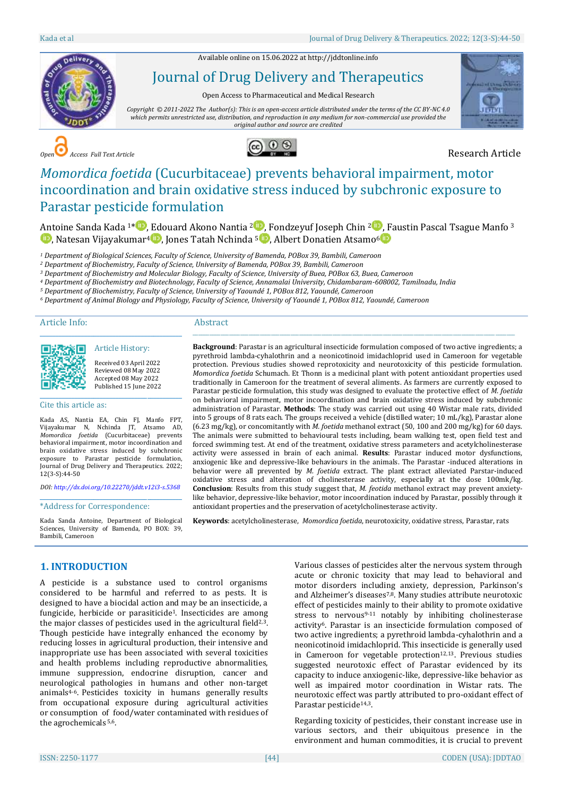Available online on 15.06.2022 a[t http://jddtonline.info](http://jddtonline.info/)



# Journal of Drug Delivery and Therapeutics

Open Access to Pharmaceutical and Medical Research

*Copyright © 2011-2022 The Author(s): This is an open-access article distributed under the terms of the CC BY-NC 4.0 which permits unrestricted use, distribution, and reproduction in any medium for non-commercial use provided the original author and source are credited*



*Open Access Full Text Article* Research Article



# *Momordica foetida* (Cucurbitaceae) prevents behavioral impairment, motor incoordination and brain oxidative stress induced by subchronic exposure to Parastar pesticide formulation

Antoine Sanda Kada <sup>1[\\*](http://orcid.org/0000-0001-5596-2862)</sup> [,](http://orcid.org/0000-0002-1171-1436) Edouard Akono Nantia <sup>2</sup> , Fondzeyuf Joseph Chin <sup>2</sup> , Faustin Pascal Tsague Manfo <sup>3</sup>  $\bullet$ [,](http://orcid.org/0000-0001-7874-7487) Natesan Vijayakumar<sup>4</sup> $\bullet$ , Jones Tatah Nchinda <sup>[5](http://orcid.org/0000-0002-9135-7050) $\bullet$ </sup>, Albert Donatien Atsamo<sup>6</sup> $\bullet$ 

*<sup>1</sup> Department of Biological Sciences, Faculty of Science, University of Bamenda, POBox 39, Bambili, Cameroon*

*<sup>2</sup> Department of Biochemistry, Faculty of Science, University of Bamenda, POBox 39, Bambili, Cameroon*

*<sup>3</sup> Department of Biochemistry and Molecular Biology, Faculty of Science, University of Buea, POBox 63, Buea, Cameroon*

*<sup>4</sup> Department of Biochemistry and Biotechnology, Faculty of Science, Annamalai University, Chidambaram-608002, Tamilnadu, India*

*<sup>5</sup> Department of Biochemistry, Faculty of Science, University of Yaoundé 1, POBox 812, Yaoundé, Cameroon*

*<sup>6</sup> Department of Animal Biology and Physiology, Faculty of Science, University of Yaoundé 1, POBox 812, Yaoundé, Cameroon*

#### Article Info:

#### Abstract



Received 03 April 2022 Reviewed 08 May 2022 Accepted 08 May 2022 Published 15 June 2022

\_\_\_\_\_\_\_\_\_\_\_\_\_\_\_\_\_\_\_\_\_\_\_\_\_\_\_\_\_\_\_\_\_\_\_\_\_\_\_\_\_\_\_\_\_ Article History:

#### Cite this article as:

Kada AS, Nantia EA, Chin FJ, Manfo FPT, Vijayakumar N, Nchinda JT, Atsamo AD, *Momordica foetida* (Cucurbitaceae) prevents behavioral impairment, motor incoordination and brain oxidative stress induced by subchronic exposure to Parastar pesticide formulation, Journal of Drug Delivery and Therapeutics. 2022; 12(3-S):44-50

\_\_\_\_\_\_\_\_\_\_\_\_\_\_\_\_\_\_\_\_\_\_\_\_\_\_\_\_\_\_\_\_\_\_\_\_\_\_\_\_\_\_\_\_\_

*DOI[: http://dx.doi.org/10.22270/jddt.v12i3-s.5368](http://dx.doi.org/10.22270/jddt.v12i3-s.5368)*  \_\_\_\_\_\_\_\_\_\_\_\_\_\_\_\_\_\_\_\_\_\_\_\_\_\_\_\_\_\_\_\_\_\_\_\_\_\_\_\_\_\_\_\_\_

\*Address for Correspondence:

Kada Sanda Antoine, Department of Biological Sciences, University of Bamenda, PO BOX: 39, Bambili, Cameroon

**Background**: Parastar is an agricultural insecticide formulation composed of two active ingredients; a pyrethroid lambda-cyhalothrin and a neonicotinoid imidachloprid used in Cameroon for vegetable protection. Previous studies showed reprotoxicity and neurotoxicity of this pesticide formulation. *Momordica foetida* Schumach. Et Thonn is a medicinal plant with potent antioxidant properties used traditionally in Cameroon for the treatment of several aliments. As farmers are currently exposed to Parastar pesticide formulation, this study was designed to evaluate the protective effect of *M. foetida* on behavioral impairment, motor incoordination and brain oxidative stress induced by subchronic administration of Parastar. **Methods**: The study was carried out using 40 Wistar male rats, divided into 5 groups of 8 rats each. The groups received a vehicle (distilled water; 10 mL/kg), Parastar alone (6.23 mg/kg), or concomitantly with *M. foetida* methanol extract (50, 100 and 200 mg/kg) for 60 days. The animals were submitted to behavioural tests including, beam walking test, open field test and forced swimming test. At end of the treatment, oxidative stress parameters and acetylcholinesterase activity were assessed in brain of each animal. **Results**: Parastar induced motor dysfunctions, anxiogenic like and depressive-like behaviours in the animals. The Parastar -induced alterations in behavior were all prevented by *M. foetida* extract. The plant extract alleviated Parstar-induced oxidative stress and alteration of cholinesterase activity, especially at the dose 100mk/kg. **Conclusion**: Results from this study suggest that, *M. feotida* methanol extract may prevent anxietylike behavior, depressive-like behavior, motor incoordination induced by Parastar, possibly through it antioxidant properties and the preservation of acetylcholinesterase activity.

\_\_\_\_\_\_\_\_\_\_\_\_\_\_\_\_\_\_\_\_\_\_\_\_\_\_\_\_\_\_\_\_\_\_\_\_\_\_\_\_\_\_\_\_\_\_\_\_\_\_\_\_\_\_\_\_\_\_\_\_\_\_\_\_\_\_\_\_\_\_\_\_\_\_\_\_\_\_\_\_\_\_\_\_\_\_\_\_\_\_\_\_\_\_\_\_\_\_\_\_\_\_\_\_\_\_\_\_\_\_\_\_\_\_\_

**Keywords**: acetylcholinesterase, *Momordica foetida*, neurotoxicity, oxidative stress, Parastar, rats

# **1. INTRODUCTION**

A pesticide is a substance used to control organisms considered to be harmful and referred to as pests. It is designed to have a biocidal action and may be an insecticide, a fungicide, herbicide or parasiticide1. Insecticides are among the major classes of pesticides used in the agricultural field $2,3$ . Though pesticide have integrally enhanced the economy by reducing losses in agricultural production, their intensive and inappropriate use has been associated with several toxicities and health problems including reproductive abnormalities, immune suppression, endocrine disruption, cancer and neurological pathologies in humans and other non-target animals4-6. Pesticides toxicity in humans generally results from occupational exposure during agricultural activities or consumption of food/water contaminated with residues of the agrochemicals 5,6.

Various classes of pesticides alter the nervous system through acute or chronic toxicity that may lead to behavioral and motor disorders including anxiety, depression, Parkinson's and Alzheimer's diseases7,8. Many studies attribute neurotoxic effect of pesticides mainly to their ability to promote oxidative stress to nervous<sup>9-11</sup> notably by inhibiting cholinesterase activity6. Parastar is an insecticide formulation composed of two active ingredients; a pyrethroid lambda-cyhalothrin and a neonicotinoid imidachloprid. This insecticide is generally used in Cameroon for vegetable protection<sup>12,13</sup>. Previous studies suggested neurotoxic effect of Parastar evidenced by its capacity to induce anxiogenic-like, depressive-like behavior as well as impaired motor coordination in Wistar rats. The neurotoxic effect was partly attributed to pro-oxidant effect of Parastar pesticide<sup>14,3</sup>.

Regarding toxicity of pesticides, their constant increase use in various sectors, and their ubiquitous presence in the environment and human commodities, it is crucial to prevent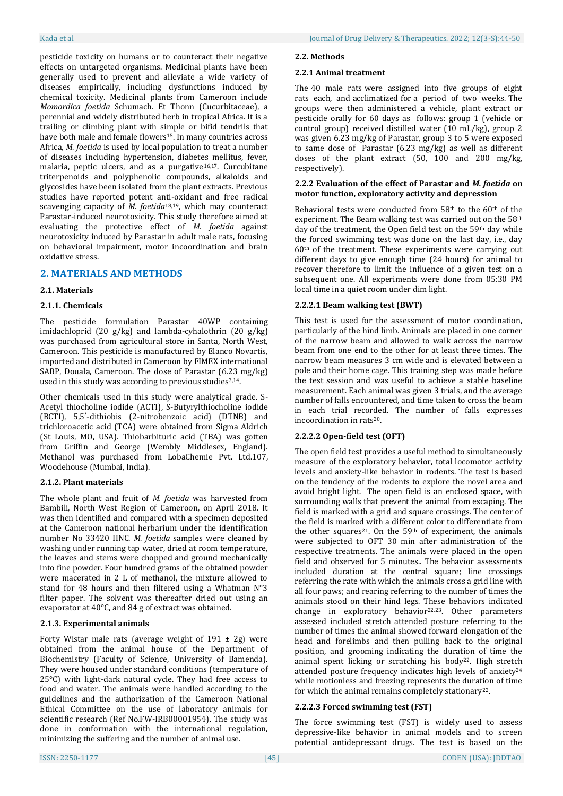pesticide toxicity on humans or to counteract their negative effects on untargeted organisms. Medicinal plants have been generally used to prevent and alleviate a wide variety of diseases empirically, including dysfunctions induced by chemical toxicity. Medicinal plants from Cameroon include *Momordica foetida* Schumach. Et Thonn (Cucurbitaceae), a perennial and widely distributed herb in tropical Africa. It is a trailing or climbing plant with simple or bifid tendrils that have both male and female flowers<sup>15</sup>. In many countries across Africa, *M. foetida* is used by local population to treat a number of diseases including hypertension, diabetes mellitus, fever, malaria, peptic ulcers, and as a purgative16,17. Curcubitane triterpenoids and polyphenolic compounds, alkaloids and glycosides have been isolated from the plant extracts. Previous studies have reported potent anti-oxidant and free radical scavenging capacity of *M. foetida*18,19, which may counteract Parastar-induced neurotoxicity. This study therefore aimed at evaluating the protective effect of *M. foetida* against neurotoxicity induced by Parastar in adult male rats, focusing on behavioral impairment, motor incoordination and brain oxidative stress.

# **2. MATERIALS AND METHODS**

## **2.1. Materials**

## **2.1.1. Chemicals**

The pesticide formulation Parastar 40WP containing imidachloprid (20 g/kg) and lambda-cyhalothrin (20 g/kg) was purchased from agricultural store in Santa, North West, Cameroon. This pesticide is manufactured by Elanco Novartis, imported and distributed in Cameroon by FIMEX international SABP, Douala, Cameroon. The dose of Parastar (6.23 mg/kg) used in this study was according to previous studies<sup>3,14</sup>.

Other chemicals used in this study were analytical grade. S-Acetyl thiocholine iodide (ACTI), S-Butyrylthiocholine iodide (BCTI), 5,5′-dithiobis (2-nitrobenzoic acid) (DTNB) and trichloroacetic acid (TCA) were obtained from Sigma Aldrich (St Louis, MO, USA). Thiobarbituric acid (TBA) was gotten from Griffin and George (Wembly Middlesex, England). Methanol was purchased from LobaChemie Pvt. Ltd.107, Woodehouse (Mumbai, India).

## **2.1.2. Plant materials**

The whole plant and fruit of *M. foetida* was harvested from Bambili, North West Region of Cameroon, on April 2018. It was then identified and compared with a specimen deposited at the Cameroon national herbarium under the identification number No 33420 HNC. *M. foetida* samples were cleaned by washing under running tap water, dried at room temperature, the leaves and stems were chopped and ground mechanically into fine powder. Four hundred grams of the obtained powder were macerated in 2 L of methanol, the mixture allowed to stand for 48 hours and then filtered using a Whatman N°3 filter paper. The solvent was thereafter dried out using an evaporator at 40°C, and 84 g of extract was obtained.

## **2.1.3. Experimental animals**

Forty Wistar male rats (average weight of  $191 \pm 2$ g) were obtained from the animal house of the Department of Biochemistry (Faculty of Science, University of Bamenda). They were housed under standard conditions (temperature of 25°C) with light-dark natural cycle. They had free access to food and water. The animals were handled according to the guidelines and the authorization of the Cameroon National Ethical Committee on the use of laboratory animals for scientific research (Ref No.FW-IRB00001954). The study was done in conformation with the international regulation, minimizing the suffering and the number of animal use.

## **2.2.1 Animal treatment**

The 40 male rats were assigned into five groups of eight rats each, and acclimatized for a period of two weeks. The groups were then administered a vehicle, plant extract or pesticide orally for 60 days as follows: group 1 (vehicle or control group) received distilled water (10 mL/kg), group 2 was given 6.23 mg/kg of Parastar, group 3 to 5 were exposed to same dose of Parastar (6.23 mg/kg) as well as different doses of the plant extract (50, 100 and 200 mg/kg, respectively).

## **2.2.2 Evaluation of the effect of Parastar and** *M. foetida* **on motor function, exploratory activity and depression**

Behavioral tests were conducted from 58th to the 60th of the experiment. The Beam walking test was carried out on the 58th day of the treatment, the Open field test on the 59<sup>th</sup> day while the forced swimming test was done on the last day, i.e., day 60th of the treatment. These experiments were carrying out different days to give enough time (24 hours) for animal to recover therefore to limit the influence of a given test on a subsequent one. All experiments were done from 05:30 PM local time in a quiet room under dim light.

## **2.2.2.1 Beam walking test (BWT)**

This test is used for the assessment of motor coordination, particularly of the hind limb. Animals are placed in one corner of the narrow beam and allowed to walk across the narrow beam from one end to the other for at least three times. The narrow beam measures 3 cm wide and is elevated between a pole and their home cage. This training step was made before the test session and was useful to achieve a stable baseline measurement. Each animal was given 3 trials, and the average number of falls encountered, and time taken to cross the beam in each trial recorded. The number of falls expresses incoordination in rats20.

# **2.2.2.2 Open-field test (OFT)**

The open field test provides a useful method to simultaneously measure of the exploratory behavior, total locomotor activity levels and anxiety-like behavior in rodents. The test is based on the tendency of the rodents to explore the novel area and avoid bright light. The open field is an enclosed space, with surrounding walls that prevent the animal from escaping. The field is marked with a grid and square crossings. The center of the field is marked with a different color to differentiate from the other squares<sup>21</sup>. On the 59<sup>th</sup> of experiment, the animals were subjected to OFT 30 min after administration of the respective treatments. The animals were placed in the open field and observed for 5 minutes.. The behavior assessments included duration at the central square; line crossings referring the rate with which the animals cross a grid line with all four paws; and rearing referring to the number of times the animals stood on their hind legs. These behaviors indicated change in exploratory behavior<sup>22,23</sup>. Other parameters assessed included stretch attended posture referring to the number of times the animal showed forward elongation of the head and forelimbs and then pulling back to the original position, and grooming indicating the duration of time the animal spent licking or scratching his body<sup>22</sup>. High stretch attended posture frequency indicates high levels of anxiety<sup>24</sup> while motionless and freezing represents the duration of time for which the animal remains completely stationary22.

# **2.2.2.3 Forced swimming test (FST)**

The force swimming test (FST) is widely used to assess depressive-like behavior in animal models and to screen potential antidepressant drugs. The test is based on the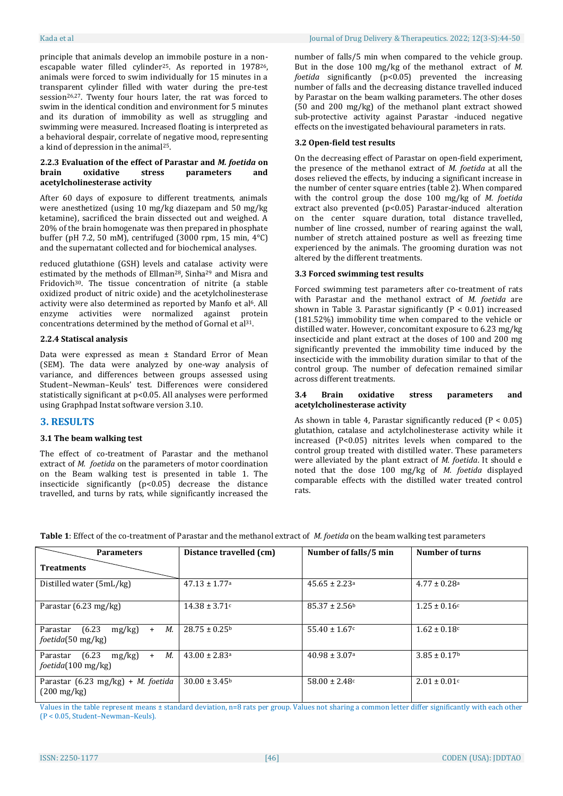principle that animals develop an immobile posture in a nonescapable water filled cylinder25. As reported in 197826, animals were forced to swim individually for 15 minutes in a transparent cylinder filled with water during the pre-test session<sup>26,27</sup>. Twenty four hours later, the rat was forced to swim in the identical condition and environment for 5 minutes and its duration of immobility as well as struggling and swimming were measured. Increased floating is interpreted as a behavioral despair, correlate of negative mood, representing a kind of depression in the animal25.

## **2.2.3 Evaluation of the effect of Parastar and** *M. foetida* **on brain oxidative stress parameters and acetylcholinesterase activity**

After 60 days of exposure to different treatments, animals were anesthetized (using 10 mg/kg diazepam and 50 mg/kg ketamine), sacrificed the brain dissected out and weighed. A 20% of the brain homogenate was then prepared in phosphate buffer (pH 7.2, 50 mM), centrifuged (3000 rpm, 15 min, 4°C) and the supernatant collected and for biochemical analyses.

reduced glutathione (GSH) levels and catalase activity were estimated by the methods of Ellman28, Sinha<sup>29</sup> and Misra and Fridovich30. The tissue concentration of nitrite (a stable oxidized product of nitric oxide) and the acetylcholinesterase activity were also determined as reported by Manfo et al<sup>6</sup>. All enzyme activities were normalized against protein concentrations determined by the method of Gornal et al31.

### **2.2.4 Statiscal analysis**

Data were expressed as mean ± Standard Error of Mean (SEM). The data were analyzed by one-way analysis of variance, and differences between groups assessed using Student–Newman–Keuls' test. Differences were considered statistically significant at p<0.05. All analyses were performed using Graphpad Instat software version 3.10.

## **3. RESULTS**

#### **3.1 The beam walking test**

The effect of co-treatment of Parastar and the methanol extract of *M. foetida* on the parameters of motor coordination on the Beam walking test is presented in table 1. The insecticide significantly (p<0.05) decrease the distance travelled, and turns by rats, while significantly increased the

number of falls/5 min when compared to the vehicle group. But in the dose 100 mg/kg of the methanol extract of *M. foetida* significantly (p<0.05) prevented the increasing number of falls and the decreasing distance travelled induced by Parastar on the beam walking parameters. The other doses (50 and 200 mg/kg) of the methanol plant extract showed sub-protective activity against Parastar -induced negative effects on the investigated behavioural parameters in rats.

## **3.2 Open-field test results**

On the decreasing effect of Parastar on open-field experiment, the presence of the methanol extract of *M. foetida* at all the doses relieved the effects, by inducing a significant increase in the number of center square entries (table 2). When compared with the control group the dose 100 mg/kg of *M. foetida* extract also prevented (p<0.05) Parastar-induced alteration on the center square duration, total distance travelled, number of line crossed, number of rearing against the wall, number of stretch attained posture as well as freezing time experienced by the animals. The grooming duration was not altered by the different treatments.

## **3.3 Forced swimming test results**

Forced swimming test parameters after co-treatment of rats with Parastar and the methanol extract of *M. foetida* are shown in Table 3. Parastar significantly  $(P < 0.01)$  increased (181.52%) immobility time when compared to the vehicle or distilled water. However, concomitant exposure to 6.23 mg/kg insecticide and plant extract at the doses of 100 and 200 mg significantly prevented the immobility time induced by the insecticide with the immobility duration similar to that of the control group. The number of defecation remained similar across different treatments.

#### **3.4 Brain oxidative stress parameters and acetylcholinesterase activity**

As shown in table 4, Parastar significantly reduced  $(P < 0.05)$ glutathion, catalase and actylcholinesterase activity while it increased (P<0.05) nitrites levels when compared to the control group treated with distilled water. These parameters were alleviated by the plant extract of *M. foetida*. It should e noted that the dose 100 mg/kg of *M. foetida* displayed comparable effects with the distilled water treated control rats.

| <b>Table 1:</b> Effect of the co-treatment of Parastar and the methanol extract of <i>M. foetida</i> on the beam walking test parameters |  |
|------------------------------------------------------------------------------------------------------------------------------------------|--|
|------------------------------------------------------------------------------------------------------------------------------------------|--|

| <b>Parameters</b>                                                  | Distance travelled (cm)       | Number of falls/5 min         | Number of turns              |
|--------------------------------------------------------------------|-------------------------------|-------------------------------|------------------------------|
| <b>Treatments</b>                                                  |                               |                               |                              |
| Distilled water (5mL/kg)                                           | $47.13 \pm 1.77$ <sup>a</sup> | $45.65 \pm 2.23$ <sup>a</sup> | $4.77 \pm 0.28$ <sup>a</sup> |
| Parastar $(6.23 \text{ mg/kg})$                                    | $14.38 \pm 3.71c$             | $85.37 \pm 2.56^b$            | $1.25 \pm 0.16c$             |
| М.<br>(6.23)<br>$mg/kg$ )<br>Parastar<br>$+$<br>foetida(50 mg/kg)  | $28.75 \pm 0.25^{\circ}$      | $55.40 \pm 1.67$ c            | $1.62 \pm 0.18$ c            |
| (6.23)<br>М.<br>mg/kg<br>Parastar<br>$+$<br>foetida(100 mg/kg)     | $43.00 \pm 2.83$ <sup>a</sup> | $40.98 \pm 3.07$ <sup>a</sup> | $3.85 \pm 0.17$ <sup>b</sup> |
| Parastar (6.23 mg/kg) + <i>M. foetida</i><br>$(200 \text{ mg/kg})$ | $30.00 \pm 3.45$              | $58.00 \pm 2.48c$             | $2.01 \pm 0.01$ c            |

Values in the table represent means ± standard deviation, n=8 rats per group. Values not sharing a common letter differ significantly with each other (P < 0.05, Student–Newman–Keuls).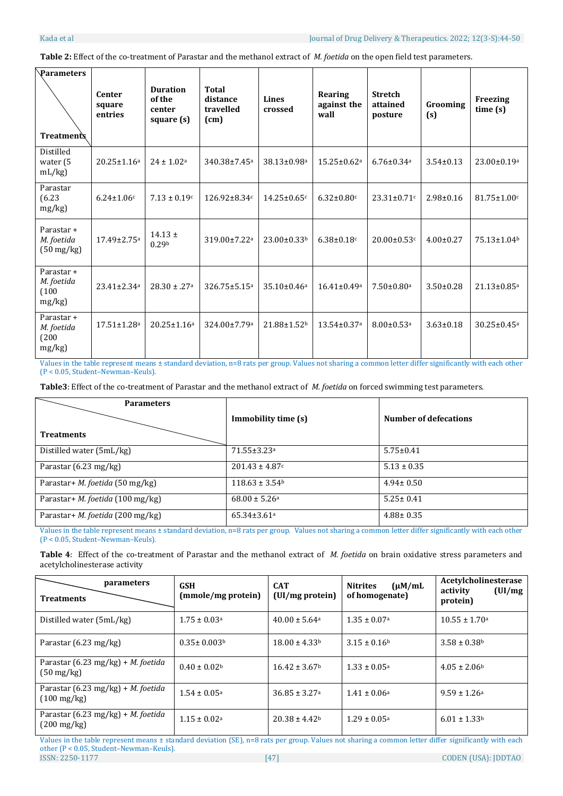**Table 2:** Effect of the co-treatment of Parastar and the methanol extract of *M. foetida* on the open field test parameters.

| Parameters<br><b>Treatments</b>                  | Center<br>square<br>entries   | <b>Duration</b><br>of the<br>center<br>square (s) | Total<br>distance<br>travelled<br>(cm) | <b>Lines</b><br>crossed       | Rearing<br>against the<br>wall | <b>Stretch</b><br>attained<br>posture | Grooming<br>(s) | Freezing<br>time(s)           |
|--------------------------------------------------|-------------------------------|---------------------------------------------------|----------------------------------------|-------------------------------|--------------------------------|---------------------------------------|-----------------|-------------------------------|
| Distilled<br>water (5<br>mL/kg                   | $20.25 \pm 1.16^a$            | $24 \pm 1.02^a$                                   | 340.38±7.45 <sup>a</sup>               | 38.13±0.98ª                   | $15.25 \pm 0.62$ <sup>a</sup>  | $6.76 \pm 0.34$ <sup>a</sup>          | $3.54 \pm 0.13$ | $23.00 \pm 0.19$ <sup>a</sup> |
| Parastar<br>(6.23)<br>mg/kg                      | $6.24 \pm 1.06c$              | $7.13 \pm 0.19c$                                  | 126.92±8.34c                           | $14.25 \pm 0.65$ c            | $6.32 \pm 0.80$ c              | $23.31 \pm 0.71$ c                    | $2.98 \pm 0.16$ | $81.75 \pm 1.00$ c            |
| Parastar +<br>M. foetida<br>$(50 \text{ mg/kg})$ | 17.49±2.75 <sup>a</sup>       | $14.13 \pm$<br>0.29 <sup>b</sup>                  | 319.00±7.22a                           | 23.00±0.33b                   | $6.38 \pm 0.18$ c              | $20.00 \pm 0.53$ c                    | $4.00 \pm 0.27$ | 75.13±1.04b                   |
| Parastar +<br>M. foetida<br>(100)<br>mg/kg       | 23.41±2.34a                   | $28.30 \pm .27a$                                  | 326.75±5.15 <sup>a</sup>               | $35.10 \pm 0.46$ <sup>a</sup> | $16.41 \pm 0.49$ <sup>a</sup>  | $7.50 \pm 0.80$ <sup>a</sup>          | $3.50 \pm 0.28$ | $21.13 \pm 0.85$ <sup>a</sup> |
| Parastar +<br>M. foetida<br>(200)<br>mg/kg       | $17.51 \pm 1.28$ <sup>a</sup> | $20.25 \pm 1.16^a$                                | 324.00±7.79a                           | 21.88±1.52b                   | 13.54±0.37a                    | $8.00 \pm 0.53$ <sup>a</sup>          | $3.63 \pm 0.18$ | $30.25 \pm 0.45$ <sup>a</sup> |

Values in the table represent means ± standard deviation, n=8 rats per group. Values not sharing a common letter differ significantly with each other (P < 0.05, Student–Newman–Keuls).

**Table3**: Effect of the co-treatment of Parastar and the methanol extract of *M. foetida* on forced swimming test parameters.

| <b>Parameters</b>                       |                                |                              |
|-----------------------------------------|--------------------------------|------------------------------|
|                                         | Immobility time (s)            | <b>Number of defecations</b> |
| <b>Treatments</b>                       |                                |                              |
| Distilled water (5mL/kg)                | 71.55±3.23ª                    | $5.75 \pm 0.41$              |
| Parastar $(6.23 \text{ mg/kg})$         | $201.43 \pm 4.87c$             | $5.13 \pm 0.35$              |
| Parastar+ M. foetida (50 mg/kg)         | $118.63 \pm 3.54$ <sup>b</sup> | $4.94 \pm 0.50$              |
| Parastar+ M. foetida (100 mg/kg)        | $68.00 \pm 5.26$ <sup>a</sup>  | $5.25 \pm 0.41$              |
| Parastar+ <i>M. foetida</i> (200 mg/kg) | $65.34 \pm 3.61$ <sup>a</sup>  | $4.88 \pm 0.35$              |

Values in the table represent means ± standard deviation, n=8 rats per group. Values not sharing a common letter differ significantly with each other (P < 0.05, Student–Newman–Keuls).

**Table 4**: Effect of the co-treatment of Parastar and the methanol extract of *M. foetida* on brain oxidative stress parameters and acetylcholinesterase activity

| parameters<br><b>Treatments</b>                                    | <b>GSH</b><br>(mmole/mg protein) | <b>CAT</b><br>(UI/mg protein) | $(\mu M/mL)$<br><b>Nitrites</b><br>of homogenate) | Acetylcholinesterase<br>(UI/mg)<br>activity<br>protein) |
|--------------------------------------------------------------------|----------------------------------|-------------------------------|---------------------------------------------------|---------------------------------------------------------|
| Distilled water (5mL/kg)                                           | $1.75 \pm 0.03$ <sup>a</sup>     | $40.00 \pm 5.64$ <sup>a</sup> | $1.35 \pm 0.07$ <sup>a</sup>                      | $10.55 \pm 1.70$ <sup>a</sup>                           |
| Parastar $(6.23 \text{ mg/kg})$                                    | $0.35 \pm 0.003$ <sup>b</sup>    | $18.00 \pm 4.33$              | $3.15 \pm 0.16$ <sup>b</sup>                      | $3.58 \pm 0.38$ <sup>b</sup>                            |
| Parastar (6.23 mg/kg) + <i>M. foetida</i><br>$(50 \text{ mg/kg})$  | $0.40 \pm 0.02^{\rm b}$          | $16.42 \pm 3.67$              | $1.33 \pm 0.05^{\circ}$                           | $4.05 \pm 2.06^{\circ}$                                 |
| Parastar (6.23 mg/kg) + <i>M. foetida</i><br>$(100 \text{ mg/kg})$ | $1.54 \pm 0.05^{\circ}$          | $36.85 \pm 3.27$ <sup>a</sup> | $1.41 \pm 0.06^{\rm a}$                           | $9.59 \pm 1.26a$                                        |
| Parastar (6.23 mg/kg) + <i>M. foetida</i><br>$(200 \text{ mg/kg})$ | $1.15 \pm 0.02^{\text{a}}$       | $20.38 \pm 4.42$              | $1.29 \pm 0.05^{\circ}$                           | $6.01 \pm 1.33$ <sup>b</sup>                            |

ISSN: 2250-1177 [47] CODEN (USA): JDDTAO Values in the table represent means ± standard deviation (SE), n=8 rats per group. Values not sharing a common letter differ significantly with each other (P < 0.05, Student–Newman–Keuls).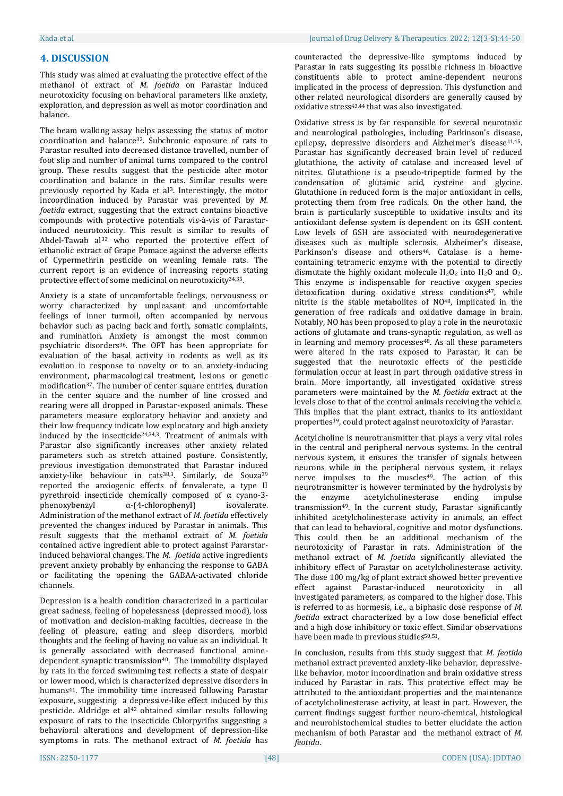## **4. DISCUSSION**

This study was aimed at evaluating the protective effect of the methanol of extract of *M. foetida* on Parastar induced neurotoxicity focusing on behavioral parameters like anxiety, exploration, and depression as well as motor coordination and balance.

The beam walking assay helps assessing the status of motor coordination and balance32. Subchronic exposure of rats to Parastar resulted into decreased distance travelled, number of foot slip and number of animal turns compared to the control group. These results suggest that the pesticide alter motor coordination and balance in the rats. Similar results were previously reported by Kada et al3. Interestingly, the motor incoordination induced by Parastar was prevented by *M. foetida* extract, suggesting that the extract contains bioactive compounds with protective potentials vis-à-vis of Parastarinduced neurotoxicity. This result is similar to results of Abdel-Tawab al<sup>33</sup> who reported the protective effect of ethanolic extract of Grape Pomace against the adverse effects of Cypermethrin pesticide on weanling female rats. The current report is an evidence of increasing reports stating protective effect of some medicinal on neurotoxicity34,35.

Anxiety is a state of uncomfortable feelings, nervousness or worry characterized by unpleasant and uncomfortable feelings of inner turmoil, often accompanied by nervous behavior such as pacing back and forth, somatic complaints, and rumination. Anxiety is amongst the most common psychiatric disorders36. The OFT has been appropriate for evaluation of the basal activity in rodents as well as its evolution in response to novelty or to an anxiety-inducing environment, pharmacological treatment, lesions or genetic modification37. The number of center square entries, duration in the center square and the number of line crossed and rearing were all dropped in Parastar-exposed animals. These parameters measure exploratory behavior and anxiety and their low frequency indicate low exploratory and high anxiety induced by the insecticide<sup>24,34,3</sup>. Treatment of animals with Parastar also significantly increases other anxiety related parameters such as stretch attained posture. Consistently, previous investigation demonstrated that Parastar induced anxiety-like behaviour in rats<sup>38,3</sup>. Similarly, de Souza<sup>39</sup> reported the anxiogenic effects of fenvalerate, a type II pyrethroid insecticide chemically composed of α cyano-3 phenoxybenzyl α-(4-chlorophenyl) isovalerate. Administration of the methanol extract of *M. foetida* effectively prevented the changes induced by Parastar in animals. This result suggests that the methanol extract of *M. foetida* contained active ingredient able to protect against Pararstarinduced behavioral changes. The *M. foetida* active ingredients prevent anxiety probably by enhancing the response to GABA or facilitating the opening the GABAA-activated chloride channels.

Depression is a health condition characterized in a particular great sadness, feeling of hopelessness (depressed mood), loss of motivation and decision-making faculties, decrease in the feeling of pleasure, eating and sleep disorders, morbid thoughts and the feeling of having no value as an individual. It is generally associated with decreased functional aminedependent synaptic transmission40. The immobility displayed by rats in the forced swimming test reflects a state of despair or lower mood, which is characterized depressive disorders in humans<sup>41</sup>. The immobility time increased following Parastar exposure, suggesting a depressive-like effect induced by this pesticide. Aldridge et al<sup>42</sup> obtained similar results following exposure of rats to the insecticide Chlorpyrifos suggesting a behavioral alterations and development of depression-like symptoms in rats. The methanol extract of *M. foetida* has

counteracted the depressive-like symptoms induced by Parastar in rats suggesting its possible richness in bioactive constituents able to protect amine-dependent neurons implicated in the process of depression. This dysfunction and other related neurological disorders are generally caused by oxidative stress<sup>43,44</sup> that was also investigated.

Oxidative stress is by far responsible for several neurotoxic and neurological pathologies, including Parkinson's disease, epilepsy, depressive disorders and Alzheimer's disease<sup>11,45</sup>. Parastar has significantly decreased brain level of reduced glutathione, the activity of catalase and increased level of nitrites. Glutathione is a pseudo-tripeptide formed by the condensation of glutamic acid, cysteine and glycine. Glutathione in reduced form is the major antioxidant in cells, protecting them from free radicals. On the other hand, the brain is particularly susceptible to oxidative insults and its antioxidant defense system is dependent on its GSH content. Low levels of GSH are associated with neurodegenerative diseases such as multiple sclerosis, Alzheimer's disease, Parkinson's disease and others<sup>46</sup>. Catalase is a hemecontaining tetrameric enzyme with the potential to directly dismutate the highly oxidant molecule  $H_2O_2$  into  $H_2O$  and  $O_2$ . This enzyme is indispensable for reactive oxygen species detoxification during oxidative stress conditions <sup>47</sup>, while nitrite is the stable metabolites of NO48, implicated in the generation of free radicals and oxidative damage in brain. Notably, NO has been proposed to play a role in the neurotoxic actions of glutamate and trans-synaptic regulation, as well as in learning and memory processes<sup>48</sup>. As all these parameters were altered in the rats exposed to Parastar, it can be suggested that the neurotoxic effects of the pesticide formulation occur at least in part through oxidative stress in brain. More importantly, all investigated oxidative stress parameters were maintained by the *M. foetida* extract at the levels close to that of the control animals receiving the vehicle. This implies that the plant extract, thanks to its antioxidant properties19, could protect against neurotoxicity of Parastar.

Acetylcholine is neurotransmitter that plays a very vital roles in the central and peripheral nervous systems. In the central nervous system, it ensures the transfer of signals between neurons while in the peripheral nervous system, it relays nerve impulses to the muscles<sup>49</sup>. The action of this neurotransmitter is however terminated by the hydrolysis by the enzyme acetylcholinesterase ending impulse transmission49. In the current study, Parastar significantly inhibited acetylcholinesterase activity in animals, an effect that can lead to behavioral, cognitive and motor dysfunctions. This could then be an additional mechanism of the neurotoxicity of Parastar in rats. Administration of the methanol extract of *M. foetida* significantly alleviated the inhibitory effect of Parastar on acetylcholinesterase activity. The dose 100 mg/kg of plant extract showed better preventive effect against Parastar-induced neurotoxicity in all investigated parameters, as compared to the higher dose. This is referred to as hormesis, i.e., a biphasic dose response of *M. foetida* extract characterized by a low dose beneficial effect and a high dose inhibitory or toxic effect. Similar observations have been made in previous studies<sup>50,51</sup>.

In conclusion, results from this study suggest that *M. feotida* methanol extract prevented anxiety-like behavior, depressivelike behavior, motor incoordination and brain oxidative stress induced by Parastar in rats. This protective effect may be attributed to the antioxidant properties and the maintenance of acetylcholinesterase activity, at least in part. However, the current findings suggest further neuro-chemical, histological and neurohistochemical studies to better elucidate the action mechanism of both Parastar and the methanol extract of *M. feotida*.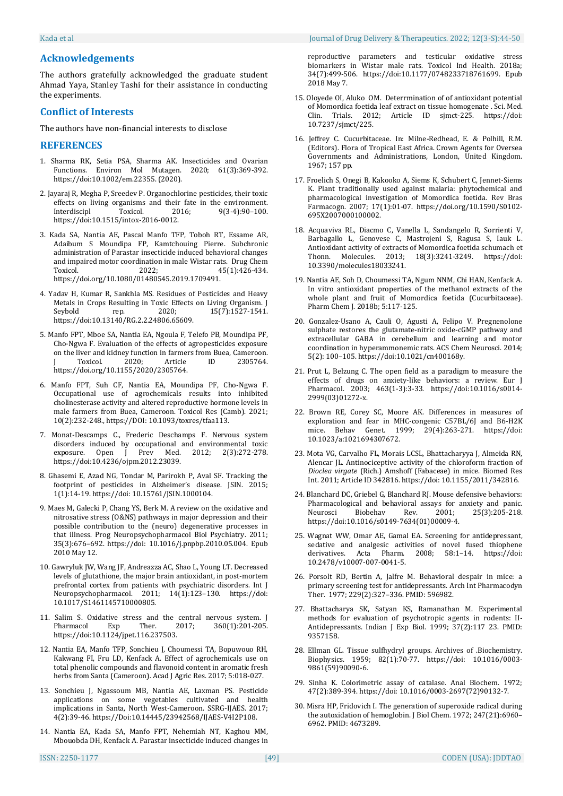## **Acknowledgements**

The authors gratefully acknowledged the graduate student Ahmad Yaya, Stanley Tashi for their assistance in conducting the experiments.

## **Conflict of Interests**

The authors have non-financial interests to disclose

#### **REFERENCES**

- 1. Sharma RK, Setia PSA, Sharma AK. Insecticides and Ovarian Functions. Environ Mol Mutagen. 2020; 61(3):369-392. https://doi:10.1002/em.22355. (2020).
- 2. Jayaraj R, Megha P, Sreedev P. Organochlorine pesticides, their toxic effects on living organisms and their fate in the environment. Interdiscipl Toxicol. 2016; 9(3-4):90–100. https://doi:10.1515/intox-2016-0012.
- 3. Kada SA, Nantia AE, Pascal Manfo TFP, Toboh RT, Essame AR, Adaibum S Moundipa FP, Kamtchouing Pierre. Subchronic administration of Parastar insecticide induced behavioral changes and impaired motor coordination in male Wistar rats. Drug Chem Toxicol. 2022; 45(1):426-434. https://doi.org/10.1080/01480545.2019.1709491.
- 4. Yadav H, Kumar R, Sankhla MS. Residues of Pesticides and Heavy Metals in Crops Resulting in Toxic Effects on Living Organism. J Seybold rep. 2020; 15(7):1527-1541. https://doi:10.13140/RG.2.2.24806.65609.
- 5. Manfo FPT, Mboe SA, Nantia EA, Ngoula F, Telefo PB, Moundipa PF, Cho-Ngwa F. Evaluation of the effects of agropesticides exposure on the liver and kidney function in farmers from Buea, Cameroon. Toxicol. 2020: Article ID 2305764. https://doi.org/10.1155/2020/2305764.
- 6. Manfo FPT, Suh CF, Nantia EA, Moundipa PF, Cho-Ngwa F. Occupational use of agrochemicals results into inhibited cholinesterase activity and altered reproductive hormone levels in male farmers from Buea, Cameroon. Toxicol Res (Camb). 2021; 10(2):232-248., https://DOI: 10.1093/toxres/tfaa113.
- 7. Monat-Descamps C., Frederic Deschamps F. Nervous system disorders induced by occupational and environmental toxic exposure. Open J Prev Med. 2012; 2(3):272-278. https://doi:10.4236/ojpm.2012.23039.
- 8. Ghasemi E, Azad NG, Tondar M, Parirokh P, Aval SF. Tracking the footprint of pesticides in Alzheimer's disease. JSIN. 2015; 1(1):14-19. https://doi: 10.15761/JSIN.1000104.
- 9. Maes M, Galecki P, Chang YS, Berk M. A review on the oxidative and nitrosative stress (O&NS) pathways in major depression and their possible contribution to the (neuro) degenerative processes in that illness. Prog Neuropsychopharmacol Biol Psychiatry. 2011; 35(3):676–692. https://doi: 10.1016/j.pnpbp.2010.05.004. Epub 2010 May 12.
- 10. Gawryluk JW, Wang JF, Andreazza AC, Shao L, Young LT. Decreased levels of glutathione, the major brain antioxidant, in post-mortem prefrontal cortex from patients with psychiatric disorders. Int J Neuropsychopharmacol. 2011; 14(1):123–130. https://doi: 10.1017/S1461145710000805.
- 11. Salim S. Oxidative stress and the central nervous system. J Pharmacol Exp Ther. 2017; 360(1):201-205. https://doi:10.1124/jpet.116.237503.
- 12. Nantia EA, Manfo TFP, Sonchieu J, Choumessi TA, Bopuwouo RH, Kakwang FI, Fru LD, Kenfack A. Effect of agrochemicals use on total phenolic compounds and flavonoid content in aromatic fresh herbs from Santa (Cameroon). Acad J Agric Res. 2017; 5:018-027.
- 13. Sonchieu J, Ngassoum MB, Nantia AE, Laxman PS. Pesticide applications on some vegetables cultivated and health implications in Santa, North West-Cameroon. SSRG-IJAES. 2017; 4(2):39-46. https://Doi:10.14445/23942568/IJAES-V4I2P108.
- 14. Nantia EA, Kada SA, Manfo FPT, Nehemiah NT, Kaghou MM, Mbouobda DH, Kenfack A. Parastar insecticide induced changes in

reproductive parameters and testicular oxidative stress biomarkers in Wistar male rats. Toxicol Ind Health. 2018a; 34(7):499-506. https://doi:10.1177/0748233718761699. Epub 2018 May 7.

- 15. Oloyede OI, Aluko OM. Deterrmination of of antioxidant potential of Momordica foetida leaf extract on tissue homogenate . Sci. Med. Clin. Trials. 2012; Article ID sjmct-225. https://doi: 10.7237/sjmct/225.
- 16. Jeffrey C. Cucurbitaceae. In: Milne-Redhead, E. & Polhill, R.M. (Editors). Flora of Tropical East Africa. Crown Agents for Oversea Governments and Administrations, London, United Kingdom. 1967; 157 pp.
- 17. Froelich S, Onegi B, Kakooko A, Siems K, Schubert C, Jennet-Siems K. Plant traditionally used against malaria: phytochemical and pharmacological investigation of Momordica foetida. Rev Bras Farmacogn. 2007; 17(1):01-07. https://doi.org/10.1590/S0102- 695X2007000100002.
- 18. Acquaviva RL, Diacmo C, Vanella L, Sandangelo R, Sorrienti V, Barbagallo L, Genovese C, Mastrojeni S, Ragusa S, Iauk L. Antioxidant activity of extracts of Momordica foetida schumach et Thonn. Molecules. 2013; 18(3):3241-3249. https://doi: 10.3390/molecules18033241.
- 19. Nantia AE, Soh D, Choumessi TA, Ngum NNM, Chi HAN, Kenfack A. In vitro antioxidant properties of the methanol extracts of the whole plant and fruit of Momordica foetida (Cucurbitaceae). Pharm Chem J. 2018b; 5:117-125.
- 20. Gonzalez-Usano A, Cauli O, Agusti A, Felipo V. Pregnenolone sulphate restores the glutamate-nitric oxide-cGMP pathway and extracellular GABA in cerebellum and learning and motor coordination in hyperammonemic rats. ACS Chem Neurosci. 2014; 5(2): 100–105. https://doi:10.1021/cn400168y.
- 21. Prut L, Belzung C. The open field as a paradigm to measure the effects of drugs on anxiety-like behaviors: a review. Eur J Pharmacol. 2003; 463(1-3):3-33. https://doi:10.1016/s0014- 2999(03)01272-x.
- 22. Brown RE, Corey SC, Moore AK. Differences in measures of exploration and fear in MHC-congenic C57BL/6J and B6-H2K mice. Behav Genet. 1999; 29(4):263-271. https://doi: 10.1023/a:1021694307672.
- 23. Mota VG, Carvalho FL, Morais LCSL, Bhattacharyya J, Almeida RN, Alencar JL. Antinociceptive activity of the chloroform fraction of *Dioclea virgate* (Rich.) Amshoff (Fabaceae) in mice. Biomed Res Int. 2011; Article ID 342816. https://doi: 10.1155/2011/342816.
- 24. Blanchard DC, Griebel G, Blanchard RJ. Mouse defensive behaviors: Pharmacological and behavioral assays for anxiety and panic.<br>Neurosci Biobehav Rev. 2001; 25(3):205-218.  $25(3):205-218.$ https://doi:10.1016/s0149-7634(01)00009-4.
- 25. Wagnat WW, Omar AE, Gamal EA. Screening for antidepressant, sedative and analgesic activities of novel fused thiophene derivatives. Acta Pharm. 2008; 58:1–14. https://doi: 10.2478/v10007-007-0041-5.
- 26. Porsolt RD, Bertin A, Jalfre M. Behavioral despair in mice: a primary screening test for antidepressants. Arch Int Pharmacodyn Ther. 1977; 229(2):327–336. PMID: 596982.
- 27. Bhattacharya SK, Satyan KS, Ramanathan M. Experimental methods for evaluation of psychotropic agents in rodents: II-Antidepressants. Indian J Exp Biol. 1999; 37(2):117 23. PMID: 9357158.
- 28. Ellman GL. Tissue sulfhydryl groups. Archives of .Biochemistry. Biophysics. 1959; 82(1):70-77. https://doi: 10.1016/0003- 9861(59)90090-6.
- 29. Sinha K. Colorimetric assay of catalase. Anal Biochem. 1972; 47(2):389-394. https://doi: 10.1016/0003-2697(72)90132-7.
- 30. Misra HP, Fridovich I. The generation of superoxide radical during the autoxidation of hemoglobin. J Biol Chem. 1972; 247(21):6960– 6962. PMID: 4673289.